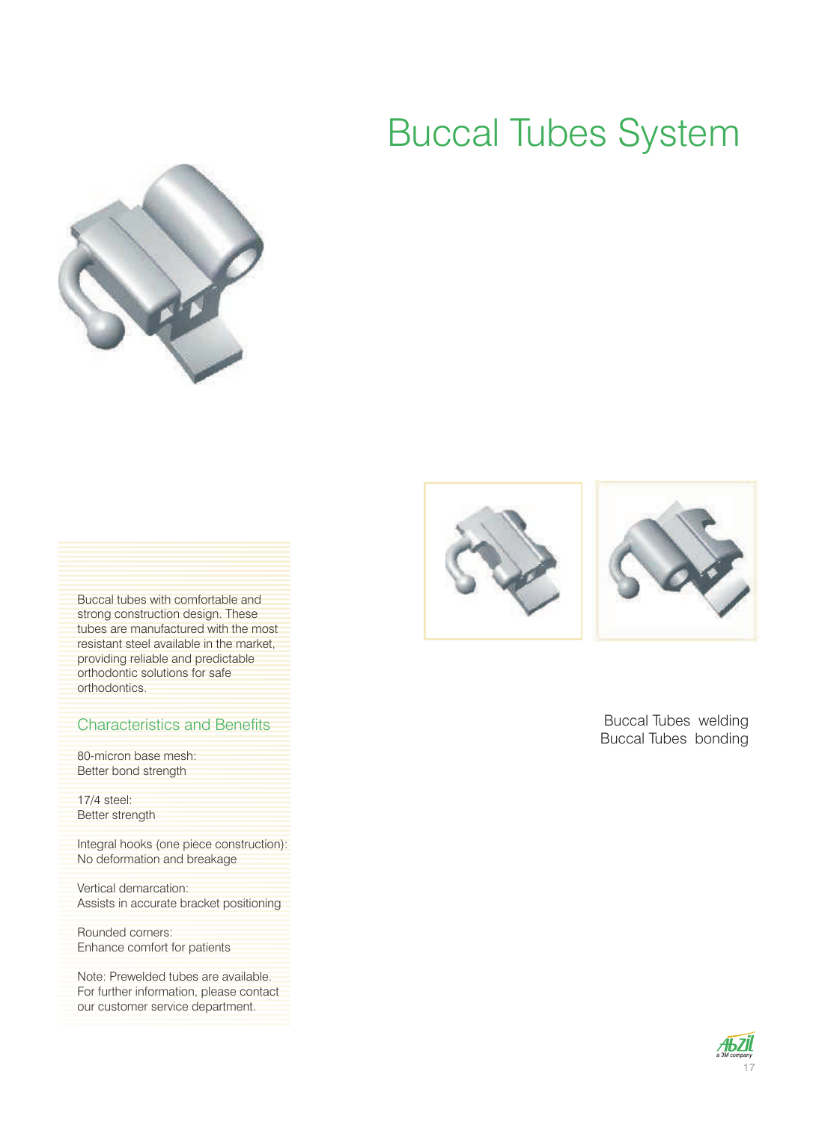### Buccal Tubes System



Buccal tubes with comfortable and strong construction design. These tubes are manufactured with the most resistant steel available in the market, providing reliable and predictable orthodontic solutions for safe orthodontics.

### Characteristics and Benefits

80-micron base mesh: Better bond strength

17/4 steel: Better strength

Integral hooks (one piece construction): No deformation and breakage

Vertical demarcation: Assists in accurate bracket positioning

Rounded corners: Enhance comfort for patients

Note: Prewelded tubes are available. For further information, please contact our customer service department.





Buccal Tubes welding Buccal Tubes bonding

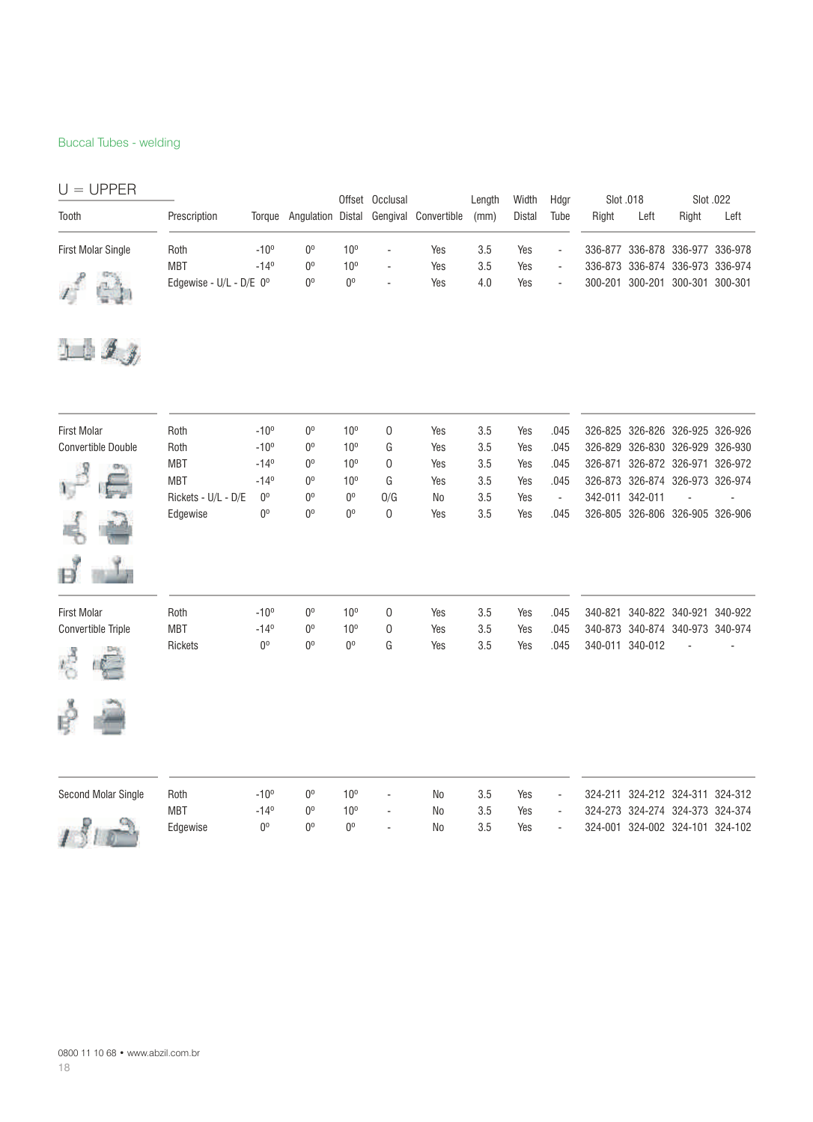#### Buccal Tubes - welding

| $U = UPPER$               |                             |               |             |                 | Offset Occlusal          |                                        | Lenath | Width         | Hdar                     | Slot .018   |                                 | Slot .022 |      |
|---------------------------|-----------------------------|---------------|-------------|-----------------|--------------------------|----------------------------------------|--------|---------------|--------------------------|-------------|---------------------------------|-----------|------|
| Tooth                     | Prescription                | Toraue        |             |                 |                          | Angulation Distal Gengival Convertible | (mm)   | <b>Distal</b> | Tube                     | Right       | Left                            | Right     | Left |
| <b>First Molar Single</b> | Roth                        | $-10^{\circ}$ | $0^{\circ}$ | $10^{\circ}$    | $\overline{\phantom{a}}$ | Yes                                    | 3.5    | Yes           | $\overline{\phantom{a}}$ |             | 336-877 336-878 336-977 336-978 |           |      |
|                           | <b>MBT</b>                  | $-14^{\circ}$ | $0^{\circ}$ | 10 <sup>o</sup> | $\overline{\phantom{a}}$ | Yes                                    | 3.5    | Yes           | $\overline{\phantom{a}}$ |             | 336-873 336-874 336-973 336-974 |           |      |
|                           | Edgewise - $U/L$ - $D/E$ 0° |               | $0^{\circ}$ | $0^{\circ}$     | $\overline{\phantom{a}}$ | Yes                                    | 4.0    | Yes           | $\overline{\phantom{a}}$ | $300 - 201$ | 300-201 300-301 300-301         |           |      |



| <b>First Molar</b>        | Roth                | $-10^{\circ}$ | 0 <sup>o</sup> | 10 <sup>o</sup> | 0              | Yes            | 3.5 | Yes | .045                     |         |                 | 326-825 326-826 326-925 326-926 |                 |
|---------------------------|---------------------|---------------|----------------|-----------------|----------------|----------------|-----|-----|--------------------------|---------|-----------------|---------------------------------|-----------------|
| <b>Convertible Double</b> | Roth                | $-10^{o}$     | $0^{\circ}$    | 10 <sup>o</sup> | G              | Yes            | 3.5 | Yes | .045                     | 326-829 | 326-830         |                                 | 326-929 326-930 |
|                           | <b>MBT</b>          | $-14^{\circ}$ | $0^{\circ}$    | 10 <sup>o</sup> | 0              | Yes            | 3.5 | Yes | .045                     | 326-871 |                 | 326-872 326-971 326-972         |                 |
|                           | <b>MBT</b>          | $-14^{\circ}$ | $0^{\circ}$    | 10 <sup>o</sup> | G              | Yes            | 3.5 | Yes | .045                     | 326-873 |                 | 326-874 326-973 326-974         |                 |
|                           | Rickets - U/L - D/E | $0^{\rm o}$   | 0 <sup>o</sup> | $0^{\circ}$     | O/G            | No             | 3.5 | Yes | $\overline{\phantom{a}}$ |         | 342-011 342-011 |                                 |                 |
|                           | Edgewise            | $0^{\circ}$   | $0^{\circ}$    | $0^{\circ}$     | 0              | Yes            | 3.5 | Yes | .045                     | 326-805 |                 | 326-806 326-905 326-906         |                 |
|                           |                     |               |                |                 |                |                |     |     |                          |         |                 |                                 |                 |
| <b>First Molar</b>        | Roth                | $-10^{\circ}$ | 0 <sup>0</sup> | 10 <sup>o</sup> | $\mathbf 0$    | Yes            | 3.5 | Yes | .045                     | 340-821 |                 | 340-822 340-921                 | 340-922         |
| Convertible Triple        | <b>MBT</b>          | $-14^{\circ}$ | $0^{\circ}$    | 10 <sup>o</sup> | $\overline{0}$ | Yes            | 3.5 | Yes | .045                     | 340-873 |                 | 340-874 340-973 340-974         |                 |
| r,                        | Rickets             | $0^{\rm o}$   | $0^{\circ}$    | $0^{\circ}$     | G              | Yes            | 3.5 | Yes | .045                     | 340-011 | 340-012         |                                 |                 |
| B                         |                     |               |                |                 |                |                |     |     |                          |         |                 |                                 |                 |
| Second Molar Single       | Roth                | $-10^{o}$     | 0 <sup>0</sup> | 10 <sup>o</sup> | ä,             | N <sub>0</sub> | 3.5 | Yes | ٠                        | 324-211 |                 | 324-212 324-311                 | 324-312         |
|                           | <b>MBT</b>          | $-14^{\circ}$ | 0 <sup>o</sup> | 10 <sup>o</sup> | ٠              | No             | 3.5 | Yes | ۰                        |         |                 | 324-273 324-274 324-373 324-374 |                 |

Edgewise 0º 0º 0º - No 3.5 Yes - 324-001 324-002 324-101 324-102

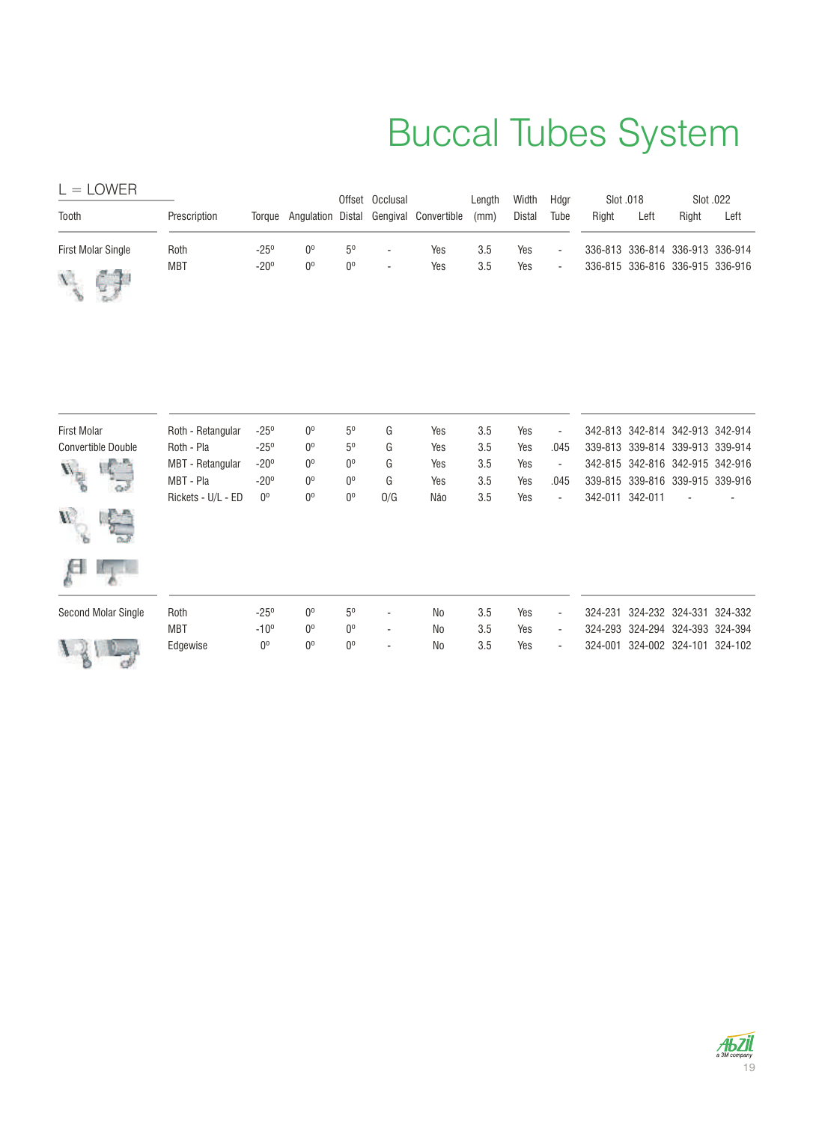# Buccal Tubes System

| $L =$ LOWER                 |              |               |             |                | Offset Occlusal          |                                               | Length | Width         | Hdar   | Slot .018 |      | Slot .022                       |                                 |
|-----------------------------|--------------|---------------|-------------|----------------|--------------------------|-----------------------------------------------|--------|---------------|--------|-----------|------|---------------------------------|---------------------------------|
| Tooth                       | Prescription |               |             |                |                          | Torque Angulation Distal Gengival Convertible | (mm)   | <b>Distal</b> | Tube   | Right     | Left | Right                           | Left                            |
| <b>First Molar Single</b>   | Roth         | $-25^{\circ}$ | $0^{\circ}$ | $5^{\circ}$    | $\overline{\phantom{a}}$ | Yes                                           | 3.5    | Yes           | $\sim$ |           |      | 336-813 336-814 336-913 336-914 |                                 |
| $\mathcal{L}_{\mathcal{L}}$ | <b>MBT</b>   | $-20^\circ$   | 0°          | 0 <sup>0</sup> | $\overline{\phantom{a}}$ | Yes                                           | 3.5    | Yes           | $\sim$ |           |      |                                 | 336-815 336-816 336-915 336-916 |

| <b>First Molar</b>         | Roth - Retangular       | $-25^{\circ}$ | $0^{\circ}$    | 5 <sup>o</sup> | G                        | Yes            | 3.5 | Yes | $\overline{\phantom{a}}$ |                 | 342-813 342-814 342-913 342-914 |  |
|----------------------------|-------------------------|---------------|----------------|----------------|--------------------------|----------------|-----|-----|--------------------------|-----------------|---------------------------------|--|
| <b>Convertible Double</b>  | Roth - Pla              | $-25^{\circ}$ | $0^{\circ}$    | 5 <sup>o</sup> | G                        | Yes            | 3.5 | Yes | .045                     |                 | 339-813 339-814 339-913 339-914 |  |
| $\mathbf{V}_{\text{in}}$   | <b>MBT</b> - Retangular | $-20^\circ$   | 0 <sup>o</sup> | 0 <sup>o</sup> | G                        | Yes            | 3.5 | Yes | $\overline{\phantom{a}}$ |                 | 342-815 342-816 342-915 342-916 |  |
|                            | MBT - Pla               | $-20^\circ$   | 0 <sup>o</sup> | 0 <sup>o</sup> | G                        | Yes            | 3.5 | Yes | .045                     |                 | 339-815 339-816 339-915 339-916 |  |
| Фź                         | Rickets - U/L - ED      | $0^{\rm o}$   | $0^{\circ}$    | $0^{\circ}$    | O/G                      | Não            | 3.5 | Yes | $\overline{\phantom{0}}$ | 342-011 342-011 |                                 |  |
| $\mathbf{W}$               |                         |               |                |                |                          |                |     |     |                          |                 |                                 |  |
|                            |                         |               |                |                |                          |                |     |     |                          |                 |                                 |  |
| <b>Second Molar Single</b> | Roth                    | $-25^{\circ}$ | $0^{\circ}$    | 5 <sup>0</sup> | $\overline{\phantom{a}}$ | N <sub>0</sub> | 3.5 | Yes | $\overline{\phantom{0}}$ |                 | 324-231 324-232 324-331 324-332 |  |
|                            | <b>MBT</b>              | $-10^{o}$     | 0 <sup>0</sup> | 0 <sup>o</sup> | $\overline{\phantom{a}}$ | N <sub>0</sub> | 3.5 | Yes | $\overline{\phantom{0}}$ |                 | 324-293 324-294 324-393 324-394 |  |
|                            | Edgewise                | $0^{\circ}$   | $0^{\circ}$    | $0^{\circ}$    | $\overline{\phantom{a}}$ | N <sub>0</sub> | 3.5 | Yes | $\overline{\phantom{0}}$ |                 | 324-001 324-002 324-101 324-102 |  |

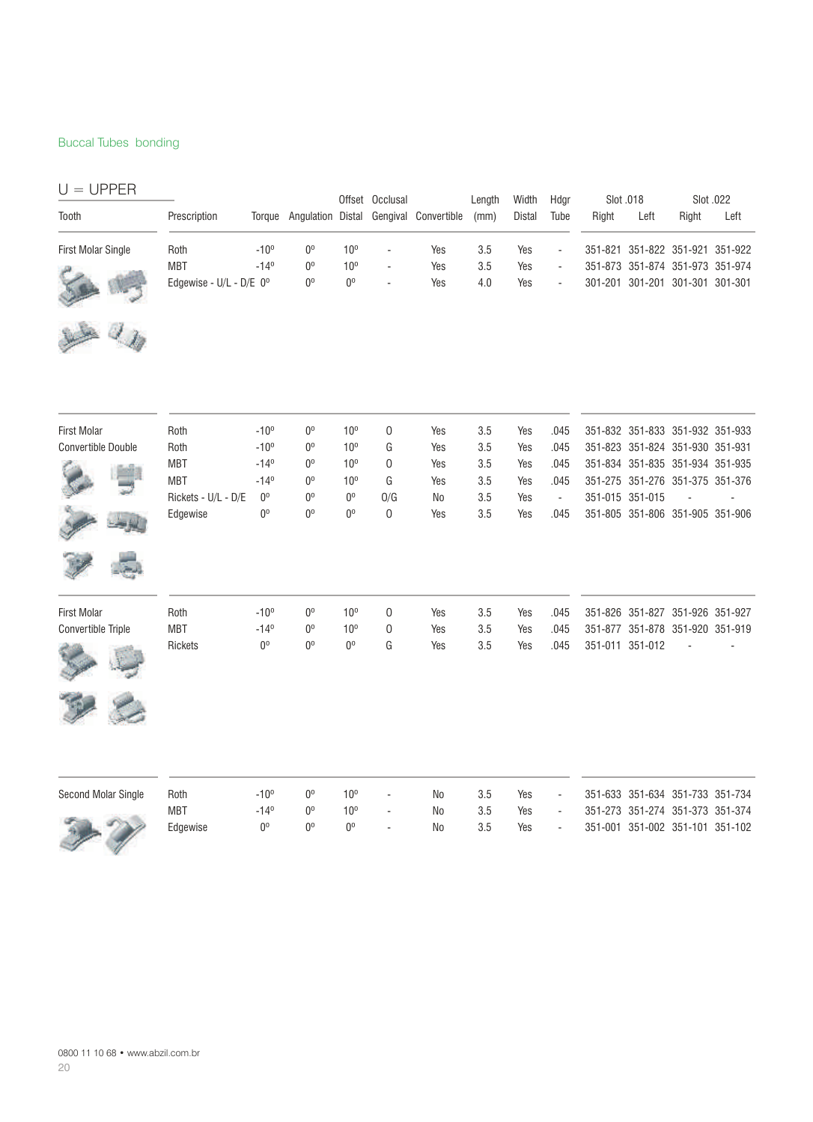#### Buccal Tubes bonding

| $U = UPPER$               |                         |                |                |                 | Offset Occlusal          |                                               | Length | Width         | Hdgr                     | Slot .018 |                 |                                 | Slot .022 |
|---------------------------|-------------------------|----------------|----------------|-----------------|--------------------------|-----------------------------------------------|--------|---------------|--------------------------|-----------|-----------------|---------------------------------|-----------|
| Tooth                     | Prescription            |                |                |                 |                          | Torque Angulation Distal Gengival Convertible | (mm)   | <b>Distal</b> | Tube                     | Right     | Left            | Right                           | Left      |
| <b>First Molar Single</b> | Roth                    | $-10^{o}$      | $0^{\rm o}$    | 10 <sup>o</sup> | $\overline{\phantom{a}}$ | Yes                                           | 3.5    | Yes           | $\blacksquare$           |           |                 | 351-821 351-822 351-921 351-922 |           |
|                           | <b>MBT</b>              | $-14^{\circ}$  | 0 <sup>0</sup> | 10 <sup>o</sup> | ÷,                       | Yes                                           | 3.5    | Yes           | $\overline{\phantom{a}}$ |           |                 | 351-873 351-874 351-973 351-974 |           |
|                           | Edgewise - U/L - D/E 0° |                | 0 <sup>0</sup> | 0 <sup>o</sup>  |                          | Yes                                           | 4.0    | Yes           | ä,                       |           |                 | 301-201 301-201 301-301 301-301 |           |
|                           |                         |                |                |                 |                          |                                               |        |               |                          |           |                 |                                 |           |
| <b>First Molar</b>        | Roth                    | $-10^{\circ}$  | $0^{\circ}$    | 10 <sup>o</sup> | 0                        | Yes                                           | 3.5    | Yes           | .045                     |           |                 | 351-832 351-833 351-932 351-933 |           |
| <b>Convertible Double</b> | Roth                    | $-10^{o}$      | $0^{\circ}$    | 10 <sup>o</sup> | G                        | Yes                                           | 3.5    | Yes           | .045                     |           |                 | 351-823 351-824 351-930 351-931 |           |
|                           | <b>MBT</b>              | $-14^{\circ}$  | $0^{\circ}$    | 10 <sup>o</sup> | 0                        | Yes                                           | 3.5    | Yes           | .045                     |           |                 | 351-834 351-835 351-934 351-935 |           |
|                           | <b>MBT</b>              | $-14^{\circ}$  | $0^{\circ}$    | 10 <sup>o</sup> | G                        | Yes                                           | 3.5    | Yes           | .045                     |           |                 | 351-275 351-276 351-375 351-376 |           |
|                           | Rickets - U/L - D/E     | $0^{\circ}$    | $0^{\circ}$    | $0^{\circ}$     | O/G                      | No                                            | 3.5    | Yes           | $\sim$                   |           | 351-015 351-015 | $\Box$                          |           |
|                           | Edgewise                | 0 <sup>o</sup> | 0 <sup>0</sup> | 0 <sup>0</sup>  | 0                        | Yes                                           | 3.5    | Yes           | .045                     |           |                 | 351-805 351-806 351-905 351-906 |           |
|                           |                         |                |                |                 |                          |                                               |        |               |                          |           |                 |                                 |           |
| <b>First Molar</b>        | Roth                    | $-10^{\circ}$  | $0^{\circ}$    | 10 <sup>o</sup> | $\mathbf 0$              | Yes                                           | 3.5    | Yes           | .045                     |           |                 | 351-826 351-827 351-926 351-927 |           |
| Convertible Triple        | <b>MBT</b>              | $-14^{\circ}$  | 0 <sup>0</sup> | 10 <sup>o</sup> | 0                        | Yes                                           | 3.5    | Yes           | .045                     |           |                 | 351-877 351-878 351-920 351-919 |           |
|                           | Rickets                 | 0 <sup>0</sup> | 0 <sup>0</sup> | 0 <sup>0</sup>  | G                        | Yes                                           | 3.5    | Yes           | .045                     |           | 351-011 351-012 |                                 |           |
|                           |                         |                |                |                 |                          |                                               |        |               |                          |           |                 |                                 |           |
|                           |                         |                |                |                 |                          |                                               |        |               |                          |           |                 |                                 |           |

| Second Molar Single | Roth     | -10°           | n° | 10°         | $\overline{\phantom{a}}$ | No | 3.5 | Yes | $\sim$ | 351-633 351-634 351-733 351-734 |  |
|---------------------|----------|----------------|----|-------------|--------------------------|----|-----|-----|--------|---------------------------------|--|
|                     | MBT      | $-14^{\circ}$  |    | 10°         | $\overline{\phantom{a}}$ | No | 3.5 | Yes | $\sim$ | 351-273 351-274 351-373 351-374 |  |
|                     | Edgewise | U <sub>0</sub> | ωo | $0^{\circ}$ | $\sim$                   | No | 3.5 | Yes | $\sim$ | 351-001 351-002 351-101 351-102 |  |